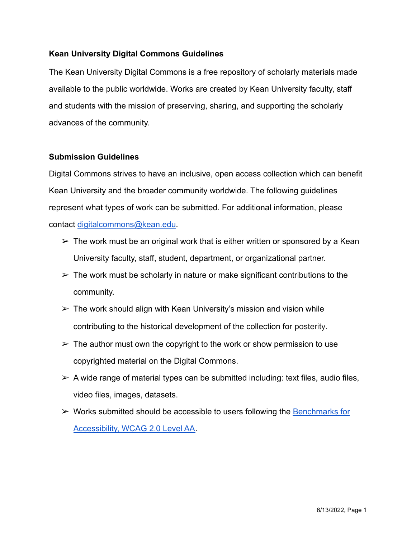# **Kean University Digital Commons Guidelines**

The Kean University Digital Commons is a free repository of scholarly materials made available to the public worldwide. Works are created by Kean University faculty, staff and students with the mission of preserving, sharing, and supporting the scholarly advances of the community.

### **Submission Guidelines**

Digital Commons strives to have an inclusive, open access collection which can benefit Kean University and the broader community worldwide. The following guidelines represent what types of work can be submitted. For additional information, please contact [digitalcommons@kean.edu.](mailto:digitalcommons@kean.edu)

- $\triangleright$  The work must be an original work that is either written or sponsored by a Kean University faculty, staff, student, department, or organizational partner.
- $\triangleright$  The work must be scholarly in nature or make significant contributions to the community.
- $\triangleright$  The work should align with Kean University's mission and vision while contributing to the historical development of the collection for posterity.
- $\triangleright$  The author must own the copyright to the work or show permission to use copyrighted material on the Digital Commons.
- $\triangleright$  A wide range of material types can be submitted including: text files, audio files, video files, images, datasets.
- $\triangleright$  Works submitted should be accessible to users following the **Benchmarks** for [Accessibility, WCAG 2.0 Level AA.](https://bepress.com/accessibility-statement/)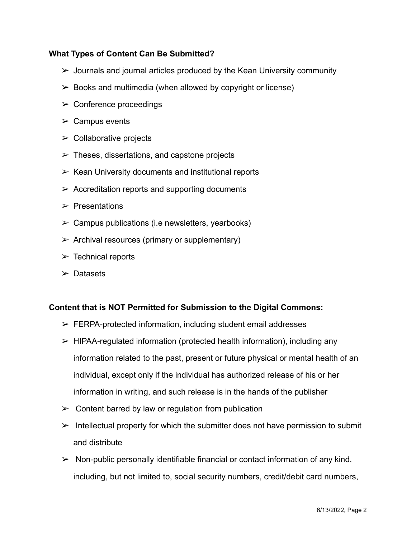# **What Types of Content Can Be Submitted?**

- $\triangleright$  Journals and journal articles produced by the Kean University community
- $\geq$  Books and multimedia (when allowed by copyright or license)
- $\triangleright$  Conference proceedings
- $\triangleright$  Campus events
- $\triangleright$  Collaborative projects
- $\triangleright$  Theses, dissertations, and capstone projects
- $\triangleright$  Kean University documents and institutional reports
- $\triangleright$  Accreditation reports and supporting documents
- $\triangleright$  Presentations
- $\triangleright$  Campus publications (i.e newsletters, yearbooks)
- $\triangleright$  Archival resources (primary or supplementary)
- $\triangleright$  Technical reports
- $\triangleright$  Datasets

#### **Content that is NOT Permitted for Submission to the Digital Commons:**

- $\triangleright$  FERPA-protected information, including student email addresses
- $\triangleright$  HIPAA-regulated information (protected health information), including any information related to the past, present or future physical or mental health of an individual, except only if the individual has authorized release of his or her information in writing, and such release is in the hands of the publisher
- $\geq$  Content barred by law or regulation from publication
- $\triangleright$  Intellectual property for which the submitter does not have permission to submit and distribute
- $\triangleright$  Non-public personally identifiable financial or contact information of any kind, including, but not limited to, social security numbers, credit/debit card numbers,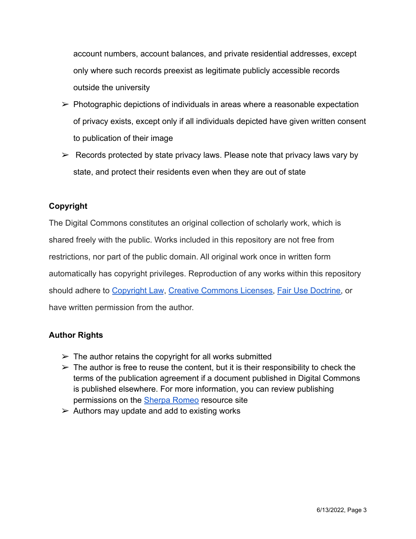account numbers, account balances, and private residential addresses, except only where such records preexist as legitimate publicly accessible records outside the university

- $\triangleright$  Photographic depictions of individuals in areas where a reasonable expectation of privacy exists, except only if all individuals depicted have given written consent to publication of their image
- $\triangleright$  Records protected by state privacy laws. Please note that privacy laws vary by state, and protect their residents even when they are out of state

# **Copyright**

The Digital Commons constitutes an original collection of scholarly work, which is shared freely with the public. Works included in this repository are not free from restrictions, nor part of the public domain. All original work once in written form automatically has copyright privileges. Reproduction of any works within this repository should adhere to [Copyright Law](https://www.copyright.gov/), [Creative Commons Licenses,](https://creativecommons.org/licenses/) [Fair Use Doctrine,](https://www.ala.org/advocacy/sites/ala.org.advocacy/files/content/copyright/FairUseChecklist.pdf) or have written permission from the author.

# **Author Rights**

- $\geq$  The author retains the copyright for all works submitted
- $\triangleright$  The author is free to reuse the content, but it is their responsibility to check the terms of the publication agreement if a document published in Digital Commons is published elsewhere. For more information, you can review publishing permissions on the [Sherpa Romeo](https://v2.sherpa.ac.uk/romeo/#:~:text=Sherpa%20Romeo%20is%20an%20online,journal%2Dby%2Djournal%20basis.) resource site
- $\triangleright$  Authors may update and add to existing works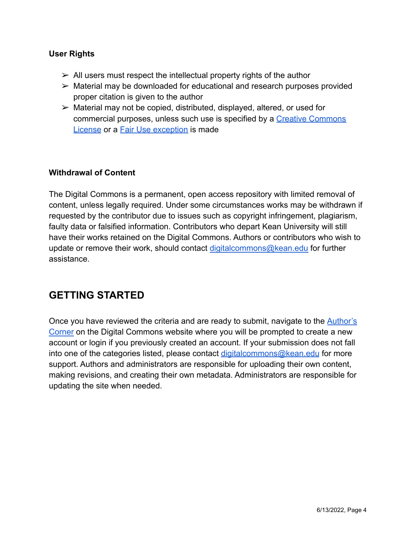# **User Rights**

- $\geq$  All users must respect the intellectual property rights of the author
- ➢ Material may be downloaded for educational and research purposes provided proper citation is given to the author
- $\triangleright$  Material may not be copied, distributed, displayed, altered, or used for commercial purposes, unless such use is specified by a [Creative Commons](https://creativecommons.org/licenses/) [License](https://creativecommons.org/licenses/) or a [Fair Use exception](https://www.ala.org/advocacy/sites/ala.org.advocacy/files/content/copyright/FairUseChecklist.pdf) is made

### **Withdrawal of Content**

The Digital Commons is a permanent, open access repository with limited removal of content, unless legally required. Under some circumstances works may be withdrawn if requested by the contributor due to issues such as copyright infringement, plagiarism, faulty data or falsified information. Contributors who depart Kean University will still have their works retained on the Digital Commons. Authors or contributors who wish to update or remove their work, should contact [digitalcommons@kean.edu](mailto:digitalcommons@kean.edu) for further assistance.

# **GETTING STARTED**

Once you have reviewed the criteria and are ready to submit, navigate to the [Author's](https://digitalcommons.kean.edu/submit_research.html) [Corner](https://digitalcommons.kean.edu/submit_research.html) on the Digital Commons website where you will be prompted to create a new account or login if you previously created an account. If your submission does not fall into one of the categories listed, please contact [digitalcommons@kean.edu](mailto:digitalcommons@kean.edu) for more support. Authors and administrators are responsible for uploading their own content, making revisions, and creating their own metadata. Administrators are responsible for updating the site when needed.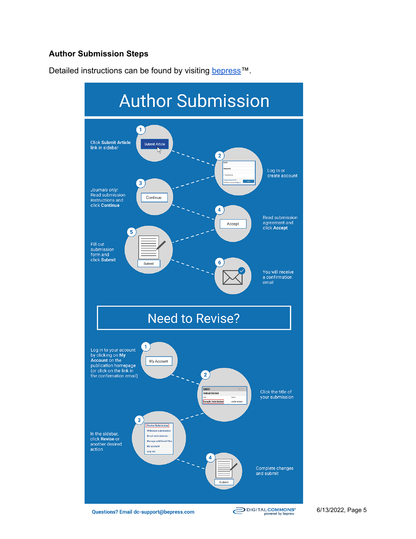# **Author Submission Steps**

Detailed instructions can be found by visiting [bepress™](https://bepress.com/reference_guide_dc/author-submission-steps-digital-commons/).



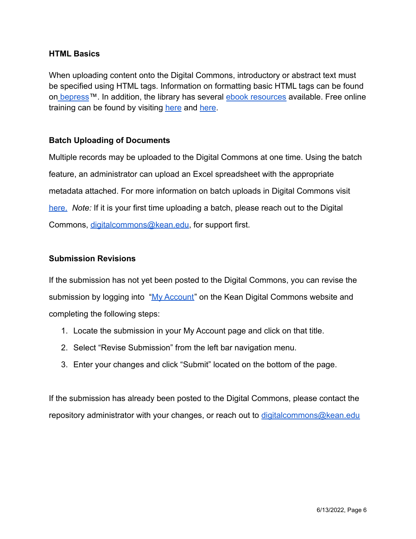### **HTML Basics**

When uploading content onto the Digital Commons, introductory or abstract text must be specified using HTML tags. Information on formatting basic HTML tags can be found on [bepress](https://bepress.com/reference_guide_dc/formatting-introductory-text-basic-html-tags/)™. In addition, the library has several [ebook resources](https://kean.on.worldcat.org/oclc/911208008) available. Free online training can be found by visiting [here](https://www.geeksforgeeks.org/html-basics/) and here.

### **Batch Uploading of Documents**

Multiple records may be uploaded to the Digital Commons at one time. Using the batch feature, an administrator can upload an Excel spreadsheet with the appropriate metadata attached. For more information on batch uploads in Digital Commons visit [here.](https://bepress.com/reference_guide_dc/batch-upload-export-revise/) *Note:* If it is your first time uploading a batch, please reach out to the Digital Commons, [digitalcommons@kean.edu](mailto:digitalcommons@kean.edu), for support first.

#### **Submission Revisions**

If the submission has not yet been posted to the Digital Commons, you can revise the submission by logging into ["My Account](https://digitalcommons.kean.edu/cgi/myaccount.cgi?context=)" on the Kean Digital Commons website and completing the following steps:

- 1. Locate the submission in your My Account page and click on that title.
- 2. Select "Revise Submission" from the left bar navigation menu.
- 3. Enter your changes and click "Submit" located on the bottom of the page.

If the submission has already been posted to the Digital Commons, please contact the repository administrator with your changes, or reach out to [digitalcommons@kean.edu](mailto:digitalcommons@kean.edu)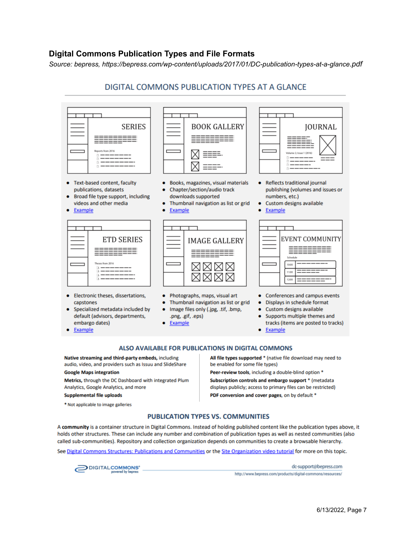#### **Digital Commons Publication Types and File Formats**

*Source: bepress, https://bepress.com/wp-content/uploads/2017/01/DC-publication-types-at-a-glance.pdf*

### DIGITAL COMMONS PUBLICATION TYPES AT A GLANCE



- default (advisors, departments, embargo dates) Example
- Image files only (.jpg, .tif, .bmp,
- .png, .gif, .eps)
- Example
- 
- Supports multiple themes and tracks (items are posted to tracks)
- Example  $\bullet$

#### ALSO AVAILABLE FOR PUBLICATIONS IN DIGITAL COMMONS

Native streaming and third-party embeds, including audio, video, and providers such as Issuu and SlideShare

#### **Google Maps integration**

٠

Metrics, through the DC Dashboard with integrated Plum Analytics, Google Analytics, and more

#### **Supplemental file uploads**

\* Not applicable to image galleries

All file types supported \* (native file download may need to be enabled for some file types)

Peer-review tools, including a double-blind option \*

Subscription controls and embargo support \* (metadata displays publicly; access to primary files can be restricted) PDF conversion and cover pages, on by default \*

#### **PUBLICATION TYPES VS. COMMUNITIES**

A community is a container structure in Digital Commons. Instead of holding published content like the publication types above, it holds other structures. These can include any number and combination of publication types as well as nested communities (also called sub-communities). Repository and collection organization depends on communities to create a browsable hierarchy.

See Digital Commons Structures: Publications and Communities or the Site Organization video tutorial for more on this topic.



dc-support@bepress.com http://www.bepress.com/products/digital-commons/resources/